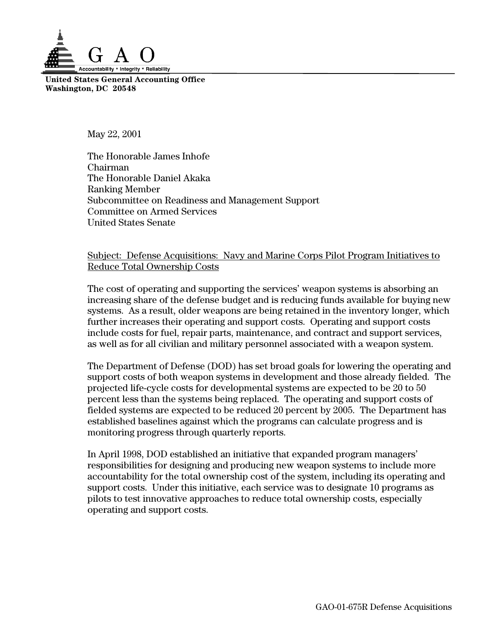

**United States General Accounting Office Washington, DC 20548**

May 22, 2001

The Honorable James Inhofe Chairman The Honorable Daniel Akaka Ranking Member Subcommittee on Readiness and Management Support Committee on Armed Services United States Senate

### Subject: Defense Acquisitions: Navy and Marine Corps Pilot Program Initiatives to Reduce Total Ownership Costs

The cost of operating and supporting the services' weapon systems is absorbing an increasing share of the defense budget and is reducing funds available for buying new systems. As a result, older weapons are being retained in the inventory longer, which further increases their operating and support costs. Operating and support costs include costs for fuel, repair parts, maintenance, and contract and support services, as well as for all civilian and military personnel associated with a weapon system.

The Department of Defense (DOD) has set broad goals for lowering the operating and support costs of both weapon systems in development and those already fielded. The projected life-cycle costs for developmental systems are expected to be 20 to 50 percent less than the systems being replaced. The operating and support costs of fielded systems are expected to be reduced 20 percent by 2005. The Department has established baselines against which the programs can calculate progress and is monitoring progress through quarterly reports.

In April 1998, DOD established an initiative that expanded program managers' responsibilities for designing and producing new weapon systems to include more accountability for the total ownership cost of the system, including its operating and support costs. Under this initiative, each service was to designate 10 programs as pilots to test innovative approaches to reduce total ownership costs, especially operating and support costs.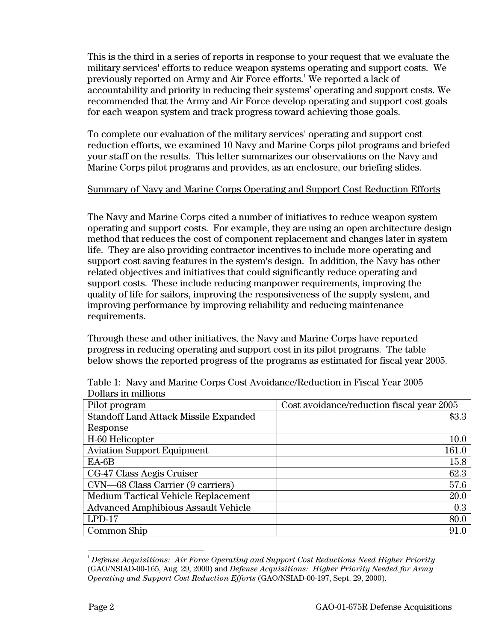This is the third in a series of reports in response to your request that we evaluate the military services' efforts to reduce weapon systems operating and support costs. We previously reported on Army and Air Force efforts.<sup>1</sup> We reported a lack of accountability and priority in reducing their systems' operating and support costs. We recommended that the Army and Air Force develop operating and support cost goals for each weapon system and track progress toward achieving those goals.

To complete our evaluation of the military services' operating and support cost reduction efforts, we examined 10 Navy and Marine Corps pilot programs and briefed your staff on the results. This letter summarizes our observations on the Navy and Marine Corps pilot programs and provides, as an enclosure, our briefing slides.

### Summary of Navy and Marine Corps Operating and Support Cost Reduction Efforts

The Navy and Marine Corps cited a number of initiatives to reduce weapon system operating and support costs. For example, they are using an open architecture design method that reduces the cost of component replacement and changes later in system life. They are also providing contractor incentives to include more operating and support cost saving features in the system's design. In addition, the Navy has other related objectives and initiatives that could significantly reduce operating and support costs. These include reducing manpower requirements, improving the quality of life for sailors, improving the responsiveness of the supply system, and improving performance by improving reliability and reducing maintenance requirements.

Through these and other initiatives, the Navy and Marine Corps have reported progress in reducing operating and support cost in its pilot programs. The table below shows the reported progress of the programs as estimated for fiscal year 2005.

| Pilot program                              | Cost avoidance/reduction fiscal year 2005 |
|--------------------------------------------|-------------------------------------------|
| Standoff Land Attack Missile Expanded      | \$3.3                                     |
| Response                                   |                                           |
| H-60 Helicopter                            | 10.0                                      |
| <b>Aviation Support Equipment</b>          | 161.0                                     |
| $EA-6B$                                    | 15.8                                      |
| CG-47 Class Aegis Cruiser                  | 62.3                                      |
| CVN—68 Class Carrier (9 carriers)          | 57.6                                      |
| <b>Medium Tactical Vehicle Replacement</b> | 20.0                                      |
| <b>Advanced Amphibious Assault Vehicle</b> | 0.3                                       |
| $LPD-17$                                   | 80.0                                      |
| Common Ship                                | 91.0                                      |

Table 1: Navy and Marine Corps Cost Avoidance/Reduction in Fiscal Year 2005 Dollars in millions

 $\frac{1}{1}$ *Defense Acquisitions: Air Force Operating and Support Cost Reductions Need Higher Priority* (GAO/NSIAD-00-165, Aug. 29, 2000) and *Defense Acquisitions: Higher Priority Needed for Army Operating and Support Cost Reduction Efforts* (GAO/NSIAD-00-197, Sept. 29, 2000).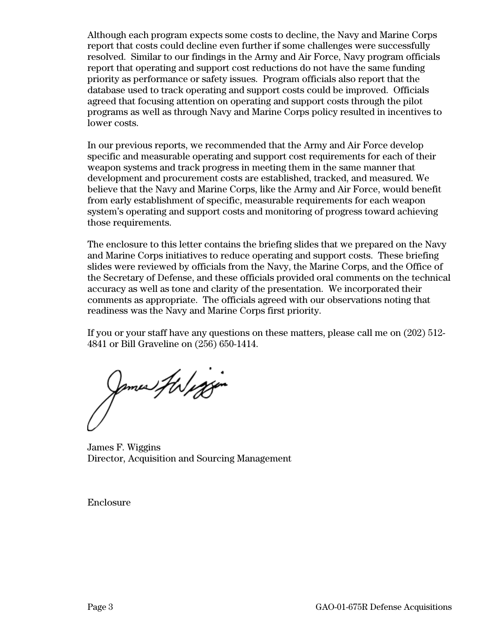Although each program expects some costs to decline, the Navy and Marine Corps report that costs could decline even further if some challenges were successfully resolved. Similar to our findings in the Army and Air Force, Navy program officials report that operating and support cost reductions do not have the same funding priority as performance or safety issues. Program officials also report that the database used to track operating and support costs could be improved. Officials agreed that focusing attention on operating and support costs through the pilot programs as well as through Navy and Marine Corps policy resulted in incentives to lower costs.

In our previous reports, we recommended that the Army and Air Force develop specific and measurable operating and support cost requirements for each of their weapon systems and track progress in meeting them in the same manner that development and procurement costs are established, tracked, and measured. We believe that the Navy and Marine Corps, like the Army and Air Force, would benefit from early establishment of specific, measurable requirements for each weapon system's operating and support costs and monitoring of progress toward achieving those requirements.

The enclosure to this letter contains the briefing slides that we prepared on the Navy and Marine Corps initiatives to reduce operating and support costs. These briefing slides were reviewed by officials from the Navy, the Marine Corps, and the Office of the Secretary of Defense, and these officials provided oral comments on the technical accuracy as well as tone and clarity of the presentation. We incorporated their comments as appropriate. The officials agreed with our observations noting that readiness was the Navy and Marine Corps first priority.

If you or your staff have any questions on these matters, please call me on (202) 512- 4841 or Bill Graveline on (256) 650-1414.

James Haliggin

James F. Wiggins Director, Acquisition and Sourcing Management

Enclosure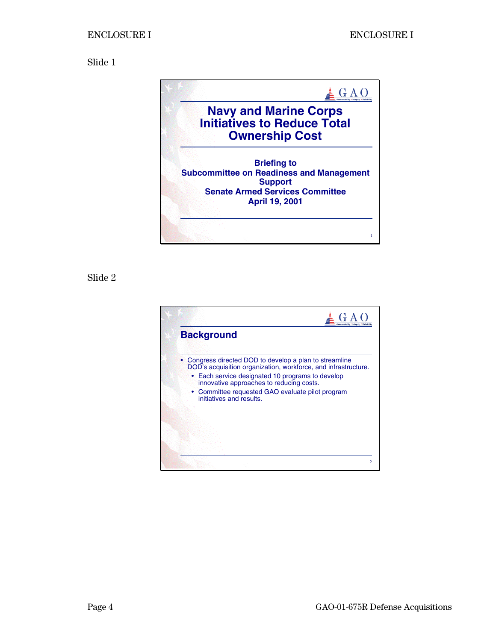

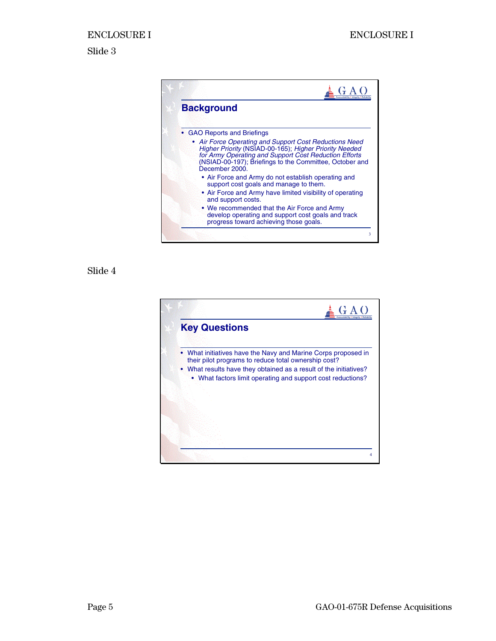

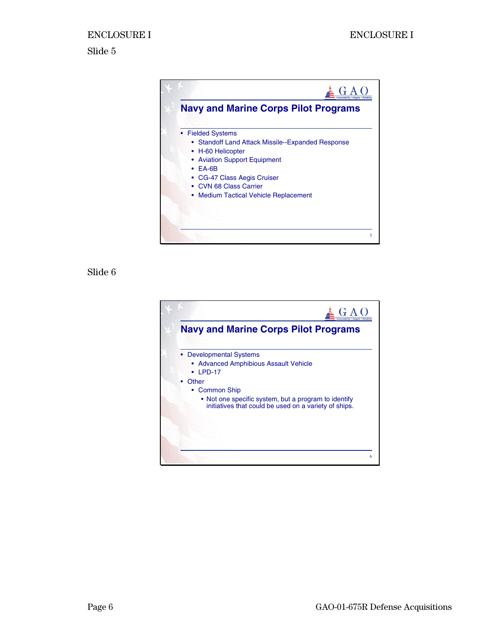

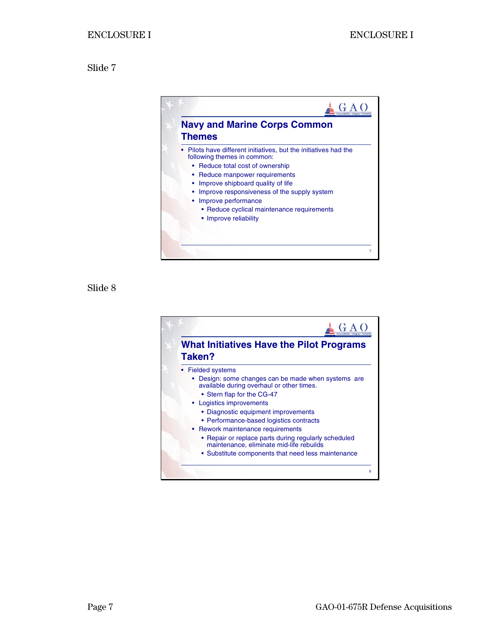

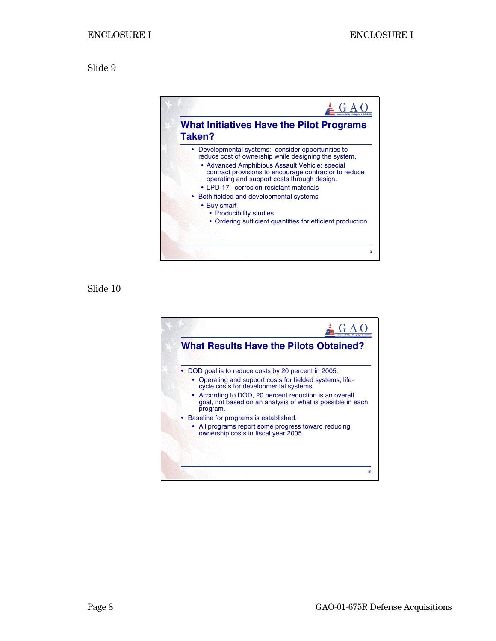

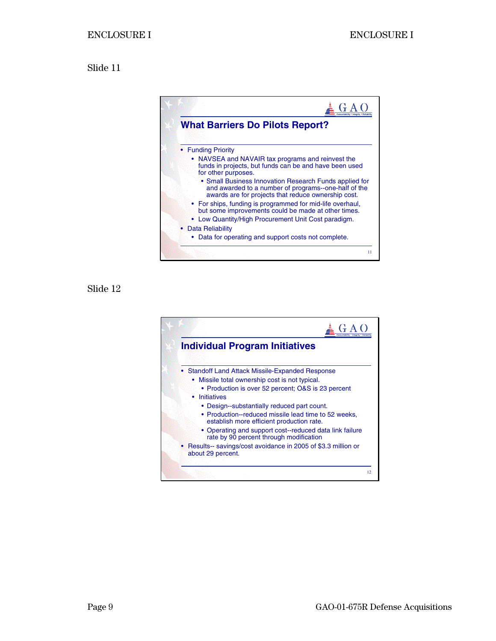

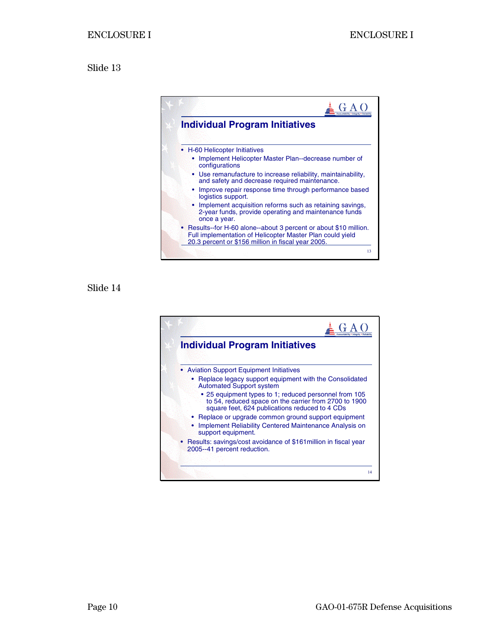

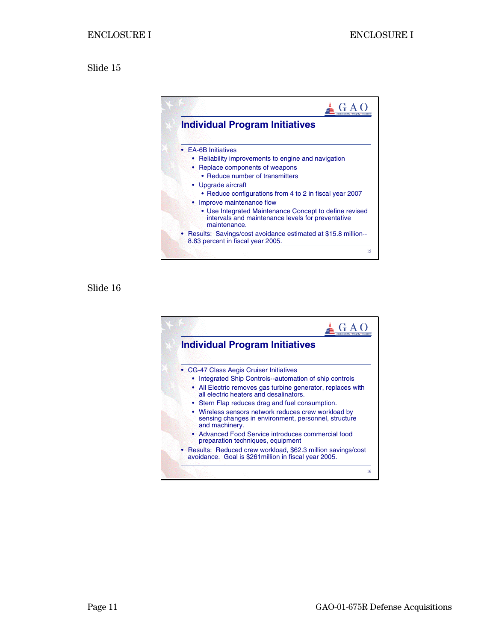

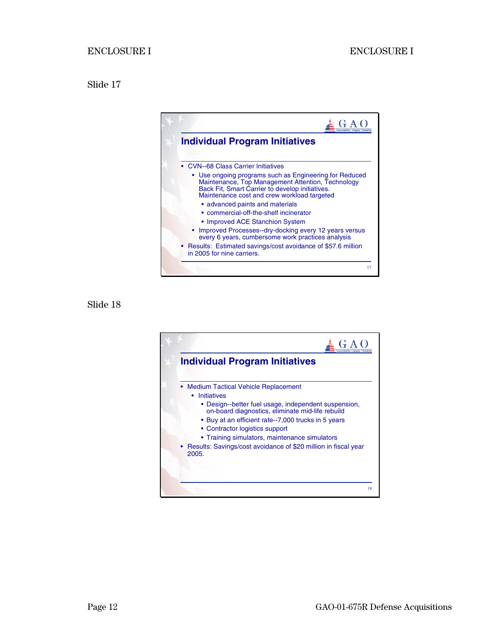

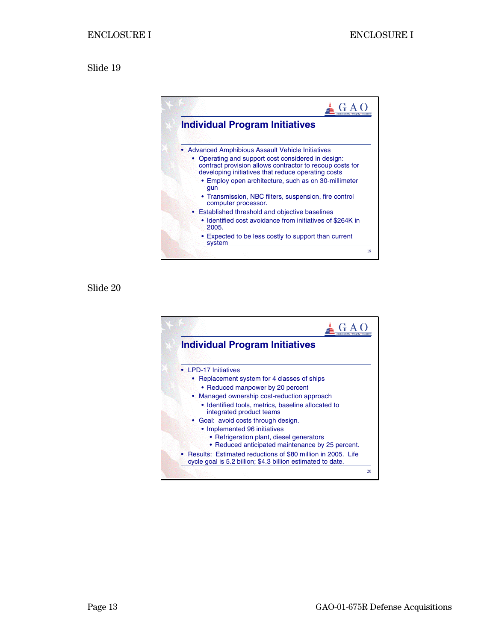

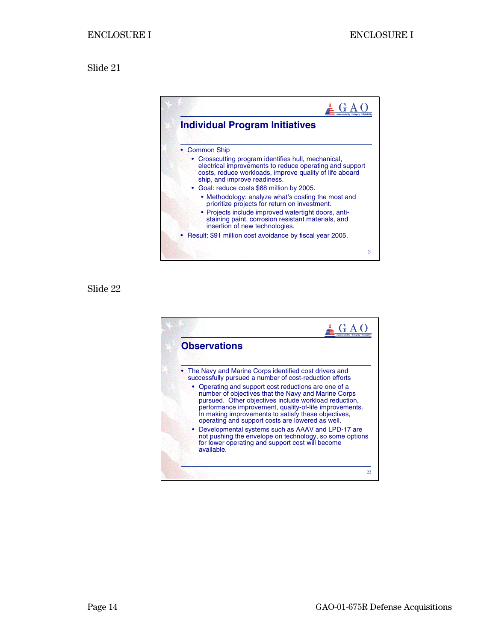